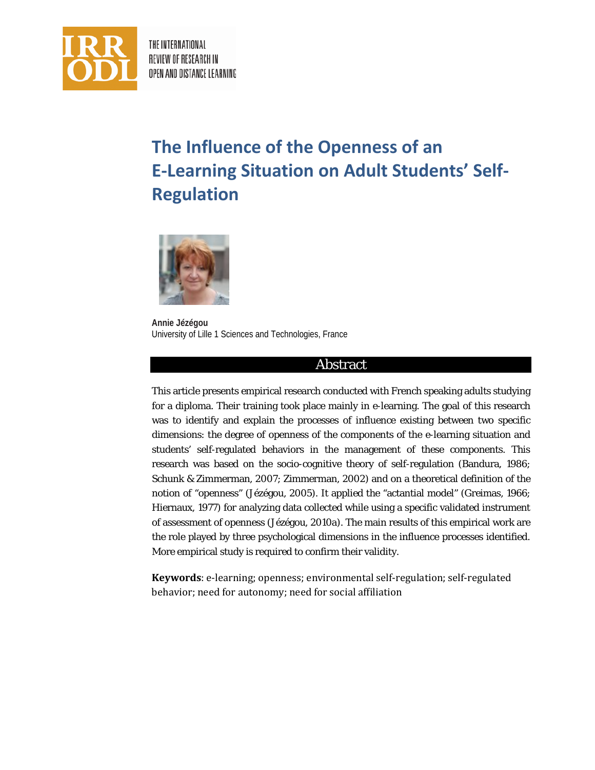

THE INTERNATIONAL REVIEW OF RESEARCH IN OPEN AND DISTANCE LEARNING

# **The Influence of the Openness of an E-Learning Situation on Adult Students' Self-Regulation**



**Annie Jézégou**  University of Lille 1 Sciences and Technologies, France

## Abstract

This article presents empirical research conducted with French speaking adults studying for a diploma. Their training took place mainly in e-learning. The goal of this research was to identify and explain the processes of influence existing between two specific dimensions: the degree of openness of the components of the e-learning situation and students' self-regulated behaviors in the management of these components. This research was based on the socio-cognitive theory of self-regulation (Bandura, 1986; Schunk & Zimmerman, 2007; Zimmerman, 2002) and on a theoretical definition of the notion of "openness" (Jézégou, 2005). It applied the "actantial model" (Greimas, 1966; Hiernaux, 1977) for analyzing data collected while using a specific validated instrument of assessment of openness (Jézégou, 2010a). The main results of this empirical work are the role played by three psychological dimensions in the influence processes identified. More empirical study is required to confirm their validity.

**Keywords**: e-learning; openness; environmental self-regulation; self-regulated behavior; need for autonomy; need for social affiliation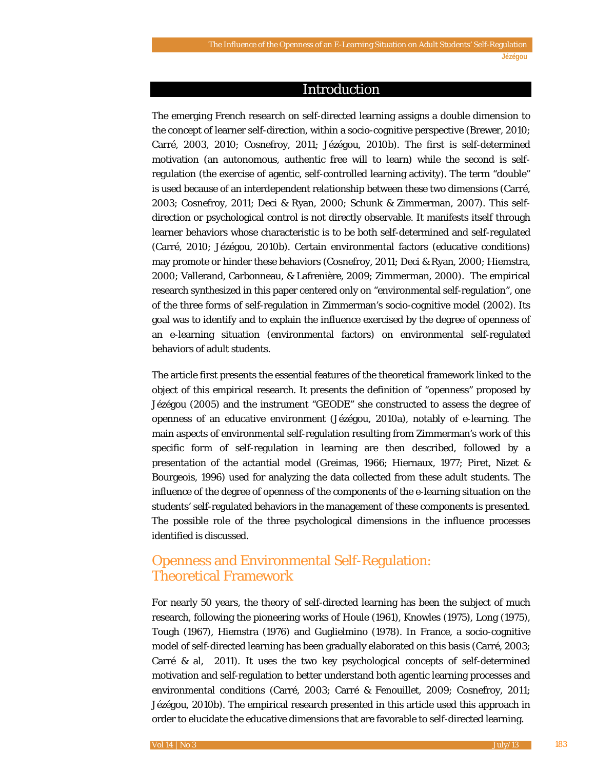#### Introduction

The emerging French research on self-directed learning assigns a double dimension to the concept of learner self-direction, within a socio-cognitive perspective (Brewer, 2010; Carré, 2003, 2010; Cosnefroy, 2011; Jézégou, 2010b). The first is self-determined motivation (an autonomous, authentic free will to learn) while the second is selfregulation (the exercise of agentic, self-controlled learning activity). The term "double" is used because of an interdependent relationship between these two dimensions (Carré, 2003; Cosnefroy, 2011; Deci & Ryan, 2000; Schunk & Zimmerman, 2007). This selfdirection or psychological control is not directly observable. It manifests itself through learner behaviors whose characteristic is to be both self-determined and self-regulated (Carré, 2010; Jézégou, 2010b). Certain environmental factors (educative conditions) may promote or hinder these behaviors (Cosnefroy, 2011; Deci & Ryan, 2000; Hiemstra, 2000; Vallerand, Carbonneau, & Lafrenière, 2009; Zimmerman, 2000). The empirical research synthesized in this paper centered only on "environmental self-regulation", one of the three forms of self-regulation in Zimmerman's socio-cognitive model (2002). Its goal was to identify and to explain the influence exercised by the degree of openness of an e-learning situation (environmental factors) on environmental self-regulated behaviors of adult students.

The article first presents the essential features of the theoretical framework linked to the object of this empirical research. It presents the definition of "openness" proposed by Jézégou (2005) and the instrument "GEODE" she constructed to assess the degree of openness of an educative environment (Jézégou, 2010a), notably of e-learning. The main aspects of environmental self-regulation resulting from Zimmerman's work of this specific form of self-regulation in learning are then described, followed by a presentation of the actantial model (Greimas, 1966; Hiernaux, 1977; Piret, Nizet & Bourgeois, 1996) used for analyzing the data collected from these adult students. The influence of the degree of openness of the components of the e-learning situation on the students' self-regulated behaviors in the management of these components is presented. The possible role of the three psychological dimensions in the influence processes identified is discussed.

# Openness and Environmental Self-Regulation: Theoretical Framework

For nearly 50 years, the theory of self-directed learning has been the subject of much research, following the pioneering works of Houle (1961), Knowles (1975), Long (1975), Tough (1967), Hiemstra (1976) and Guglielmino (1978). In France, a socio-cognitive model of self-directed learning has been gradually elaborated on this basis (Carré, 2003; Carré & al, 2011). It uses the two key psychological concepts of self-determined motivation and self-regulation to better understand both agentic learning processes and environmental conditions (Carré, 2003; Carré & Fenouillet, 2009; Cosnefroy, 2011; Jézégou, 2010b). The empirical research presented in this article used this approach in order to elucidate the educative dimensions that are favorable to self-directed learning.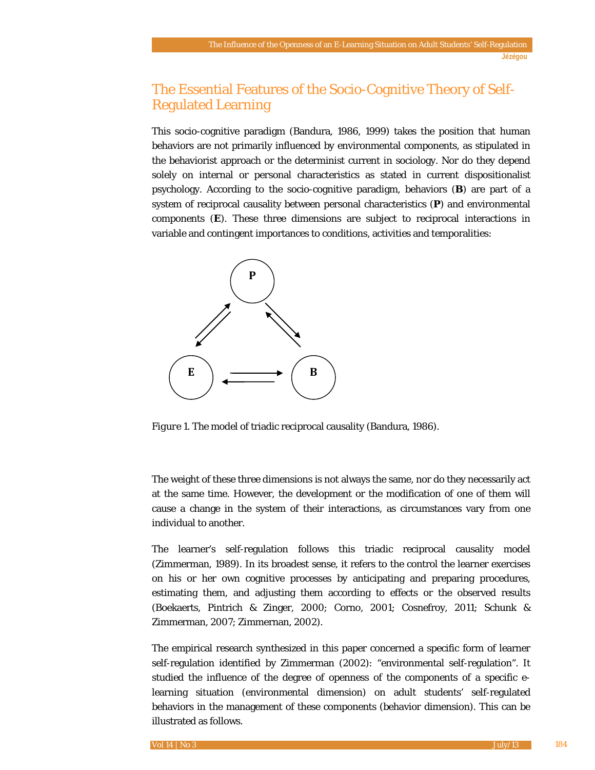# The Essential Features of the Socio-Cognitive Theory of Self-Regulated Learning

This socio-cognitive paradigm (Bandura, 1986, 1999) takes the position that human behaviors are not primarily influenced by environmental components, as stipulated in the behaviorist approach or the determinist current in sociology. Nor do they depend solely on internal or personal characteristics as stated in current dispositionalist psychology. According to the socio-cognitive paradigm, behaviors (**B**) are part of a system of reciprocal causality between personal characteristics (**P**) and environmental components (**E**). These three dimensions are subject to reciprocal interactions in variable and contingent importances to conditions, activities and temporalities:



*Figure 1*. The model of triadic reciprocal causality (Bandura, 1986).

The weight of these three dimensions is not always the same, nor do they necessarily act at the same time. However, the development or the modification of one of them will cause a change in the system of their interactions, as circumstances vary from one individual to another.

The learner's self-regulation follows this triadic reciprocal causality model (Zimmerman, 1989). In its broadest sense, it refers to the control the learner exercises on his or her own cognitive processes by anticipating and preparing procedures, estimating them, and adjusting them according to effects or the observed results (Boekaerts, Pintrich & Zinger, 2000; Corno, 2001; Cosnefroy, 2011; Schunk & Zimmerman, 2007; Zimmernan, 2002).

The empirical research synthesized in this paper concerned a specific form of learner self-regulation identified by Zimmerman (2002): "environmental self-regulation". It studied the influence of the degree of openness of the components of a specific elearning situation (environmental dimension) on adult students' self-regulated behaviors in the management of these components (behavior dimension). This can be illustrated as follows.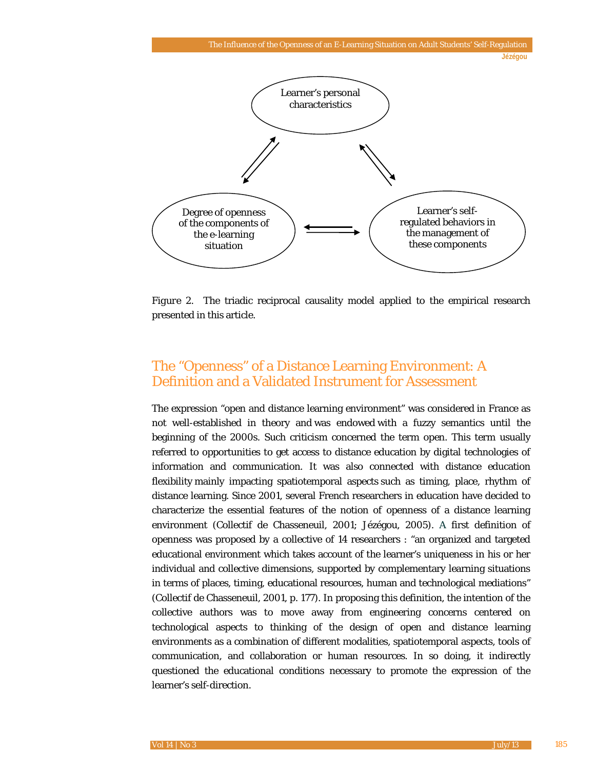

*Figure 2*. The triadic reciprocal causality model applied to the empirical research presented in this article.

# The "Openness" of a Distance Learning Environment: A Definition and a Validated Instrument for Assessment

The expression "open and distance learning environment" was considered in France as not well-established in theory and was endowed with a fuzzy semantics until the beginning of the 2000s. Such criticism concerned the term *open*. This term usually referred to opportunities to get access to distance education by digital technologies of information and communication. It was also connected with distance education flexibility mainly impacting spatiotemporal aspects such as timing, place, rhythm of distance learning. Since 2001, several French researchers in education have decided to characterize the essential features of the notion of openness of a distance learning environment (Collectif de Chasseneuil, 2001; Jézégou, 2005). A first definition of openness was proposed by a collective of 14 researchers : "an organized and targeted educational environment which takes account of the learner's uniqueness in his or her individual and collective dimensions, supported by complementary learning situations in terms of places, timing, educational resources, human and technological mediations*"*  (Collectif de Chasseneuil, 2001, p. 177). In proposing this definition, the intention of the collective authors was to move away from engineering concerns centered on technological aspects to thinking of the design of open and distance learning environments as a combination of different modalities, spatiotemporal aspects, tools of communication, and collaboration or human resources. In so doing, it indirectly questioned the educational conditions necessary to promote the expression of the learner's self-direction.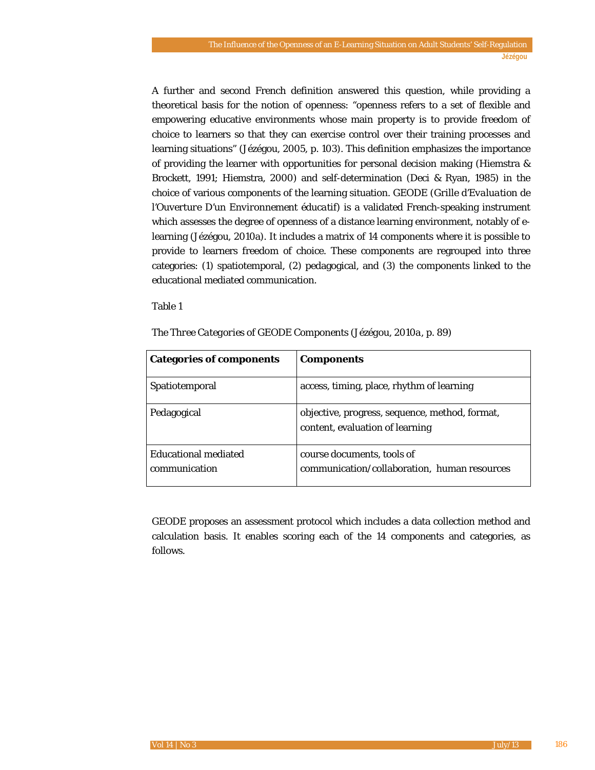A further and second French definition answered this question, while providing a theoretical basis for the notion of openness: "openness refers to a set of flexible and empowering educative environments whose main property is to provide freedom of choice to learners so that they can exercise control over their training processes and learning situations" (Jézégou, 2005, p. 103). This definition emphasizes the importance of providing the learner with opportunities for personal decision making (Hiemstra & Brockett, 1991; Hiemstra, 2000) and self-determination (Deci & Ryan, 1985) in the choice of various components of the learning situation. GEODE (*Grille d'Evaluation de l'Ouverture D'un Environnement éducatif*) is a validated French-speaking instrument which assesses the degree of openness of a distance learning environment, notably of elearning (Jézégou, 2010a). It includes a matrix of 14 components where it is possible to provide to learners freedom of choice. These components are regrouped into three categories: (1) spatiotemporal, (2) pedagogical, and (3) the components linked to the educational mediated communication.

#### Table 1

| <b>Categories of components</b>              | <b>Components</b>                                                                 |
|----------------------------------------------|-----------------------------------------------------------------------------------|
| Spatiotemporal                               | access, timing, place, rhythm of learning                                         |
| Pedagogical                                  | objective, progress, sequence, method, format,<br>content, evaluation of learning |
| <b>Educational mediated</b><br>communication | course documents, tools of<br>communication/collaboration, human resources        |

*The Three Categories of GEODE Components (Jézégou, 2010a, p. 89)*

GEODE proposes an assessment protocol which includes a data collection method and calculation basis. It enables scoring each of the 14 components and categories, as follows.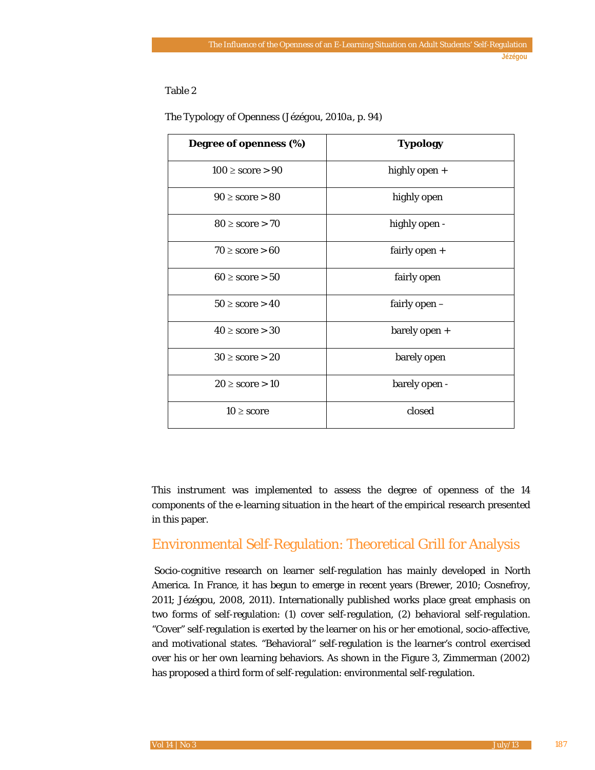## Table 2

| Degree of openness (%) | <b>Typology</b> |
|------------------------|-----------------|
| $100 \geq score > 90$  | highly open +   |
| $90 \geq score > 80$   | highly open     |
| $80 \geq score > 70$   | highly open -   |
| $70 \geq score > 60$   | fairly open $+$ |
| $60 \geq score > 50$   | fairly open     |
| $50 \geq score > 40$   | fairly open -   |
| $40 \geq$ score $> 30$ | barely open +   |
| $30 \geq$ score $> 20$ | barely open     |
| $20 \geq score > 10$   | barely open -   |
| $10 \geq score$        | closed          |

#### *The Typology of Openness (Jézégou, 2010a, p. 94)*

This instrument was implemented to assess the degree of openness of the 14 components of the e-learning situation in the heart of the empirical research presented in this paper.

## Environmental Self-Regulation: Theoretical Grill for Analysis

Socio-cognitive research on learner self-regulation has mainly developed in North America. In France, it has begun to emerge in recent years (Brewer, 2010; Cosnefroy, 2011; Jézégou, 2008, 2011). Internationally published works place great emphasis on two forms of self-regulation: (1) cover self-regulation, (2) behavioral self-regulation. "Cover" self-regulation is exerted by the learner on his or her emotional, socio-affective, and motivational states. "Behavioral" self-regulation is the learner's control exercised over his or her own learning behaviors. As shown in the Figure 3, Zimmerman (2002) has proposed a third form of self-regulation: environmental self-regulation.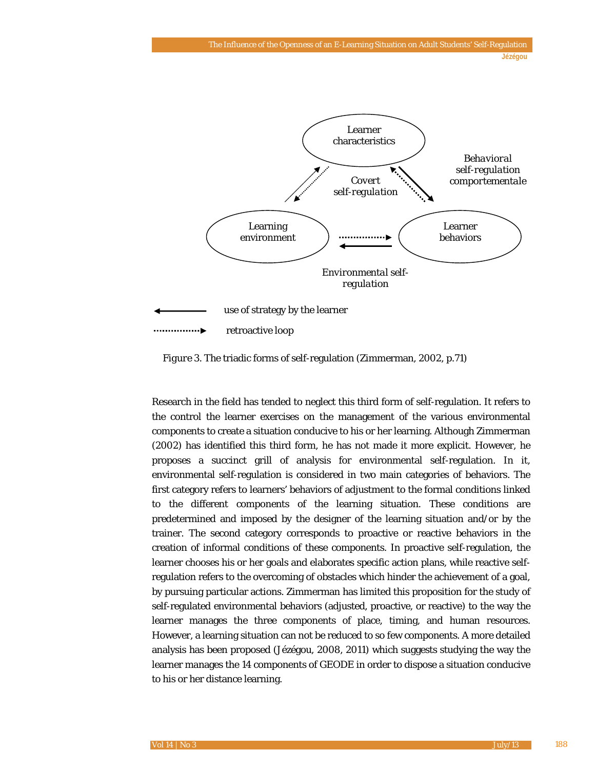

*Figure 3*. The triadic forms of self-regulation (Zimmerman, 2002, p.71)

Research in the field has tended to neglect this third form of self-regulation. It refers to the control the learner exercises on the management of the various environmental components to create a situation conducive to his or her learning. Although Zimmerman (2002) has identified this third form, he has not made it more explicit. However, he proposes a succinct grill of analysis for environmental self-regulation. In it, environmental self-regulation is considered in two main categories of behaviors. The first category refers to learners' behaviors of adjustment to the formal conditions linked to the different components of the learning situation. These conditions are predetermined and imposed by the designer of the learning situation and/or by the trainer. The second category corresponds to proactive or reactive behaviors in the creation of informal conditions of these components. In proactive self-regulation, the learner chooses his or her goals and elaborates specific action plans, while reactive selfregulation refers to the overcoming of obstacles which hinder the achievement of a goal, by pursuing particular actions. Zimmerman has limited this proposition for the study of self-regulated environmental behaviors (adjusted, proactive, or reactive) to the way the learner manages the three components of place, timing, and human resources. However, a learning situation can not be reduced to so few components. A more detailed analysis has been proposed (Jézégou, 2008, 2011) which suggests studying the way the learner manages the 14 components of GEODE in order to dispose a situation conducive to his or her distance learning.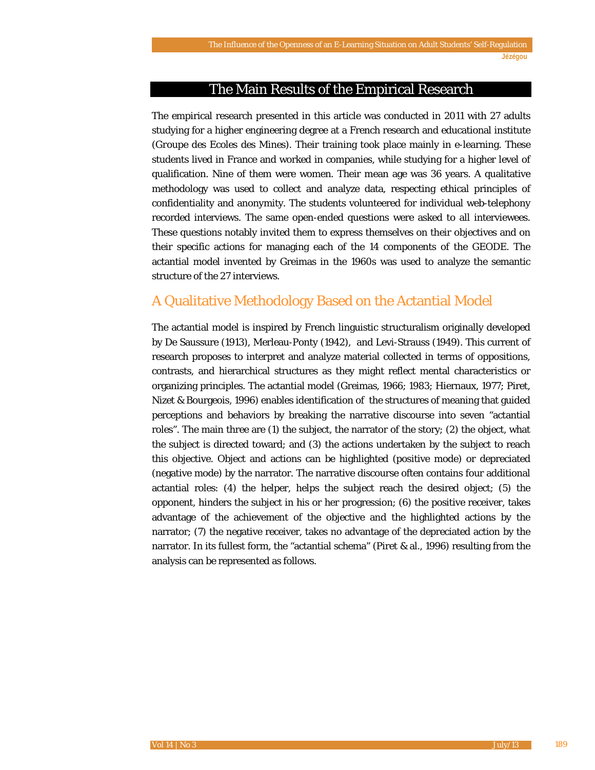## The Main Results of the Empirical Research

The empirical research presented in this article was conducted in 2011 with 27 adults studying for a higher engineering degree at a French research and educational institute (*Groupe des Ecoles des Mines*). Their training took place mainly in e-learning. These students lived in France and worked in companies, while studying for a higher level of qualification. Nine of them were women. Their mean age was 36 years. A qualitative methodology was used to collect and analyze data, respecting ethical principles of confidentiality and anonymity. The students volunteered for individual web-telephony recorded interviews. The same open-ended questions were asked to all interviewees. These questions notably invited them to express themselves on their objectives and on their specific actions for managing each of the 14 components of the GEODE. The actantial model invented by Greimas in the 1960s was used to analyze the semantic structure of the 27 interviews.

## A Qualitative Methodology Based on the Actantial Model

The actantial model is inspired by French linguistic structuralism originally developed by De Saussure (1913), Merleau-Ponty (1942), and Levi-Strauss (1949). This current of research proposes to interpret and analyze material collected in terms of oppositions, contrasts, and hierarchical structures as they might reflect mental characteristics or organizing principles. The actantial model (Greimas, 1966; 1983; Hiernaux, 1977; Piret, Nizet & Bourgeois, 1996) enables identification of the structures of meaning that guided perceptions and behaviors by breaking the narrative discourse into seven "actantial roles". The main three are (1) the subject, the narrator of the story; (2) the object, what the subject is directed toward; and (3) the actions undertaken by the subject to reach this objective. Object and actions can be highlighted (positive mode) or depreciated (negative mode) by the narrator. The narrative discourse often contains four additional actantial roles: (4) the helper, helps the subject reach the desired object; (5) the opponent, hinders the subject in his or her progression; (6) the positive receiver, takes advantage of the achievement of the objective and the highlighted actions by the narrator; (7) the negative receiver, takes no advantage of the depreciated action by the narrator. In its fullest form, the "actantial schema" (Piret & al., 1996) resulting from the analysis can be represented as follows.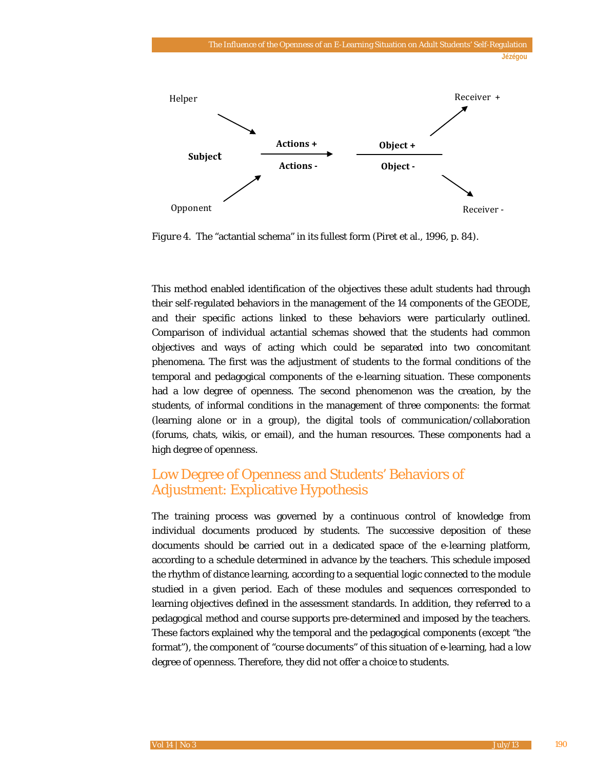

*Figure 4*. The "actantial schema" in its fullest form (Piret et al., 1996, p. 84).

This method enabled identification of the objectives these adult students had through their self-regulated behaviors in the management of the 14 components of the GEODE, and their specific actions linked to these behaviors were particularly outlined. Comparison of individual actantial schemas showed that the students had common objectives and ways of acting which could be separated into two concomitant phenomena. The first was the adjustment of students to the formal conditions of the temporal and pedagogical components of the e-learning situation. These components had a low degree of openness. The second phenomenon was the creation, by the students, of informal conditions in the management of three components: the format (learning alone or in a group), the digital tools of communication/collaboration (forums, chats, wikis, or email), and the human resources. These components had a high degree of openness.

# Low Degree of Openness and Students' Behaviors of Adjustment: Explicative Hypothesis

The training process was governed by a continuous control of knowledge from individual documents produced by students. The successive deposition of these documents should be carried out in a dedicated space of the e-learning platform, according to a schedule determined in advance by the teachers. This schedule imposed the rhythm of distance learning, according to a sequential logic connected to the module studied in a given period. Each of these modules and sequences corresponded to learning objectives defined in the assessment standards. In addition, they referred to a pedagogical method and course supports pre-determined and imposed by the teachers. These factors explained why the temporal and the pedagogical components (except "the format"), the component of "course documents" of this situation of e-learning, had a low degree of openness. Therefore, they did not offer a choice to students.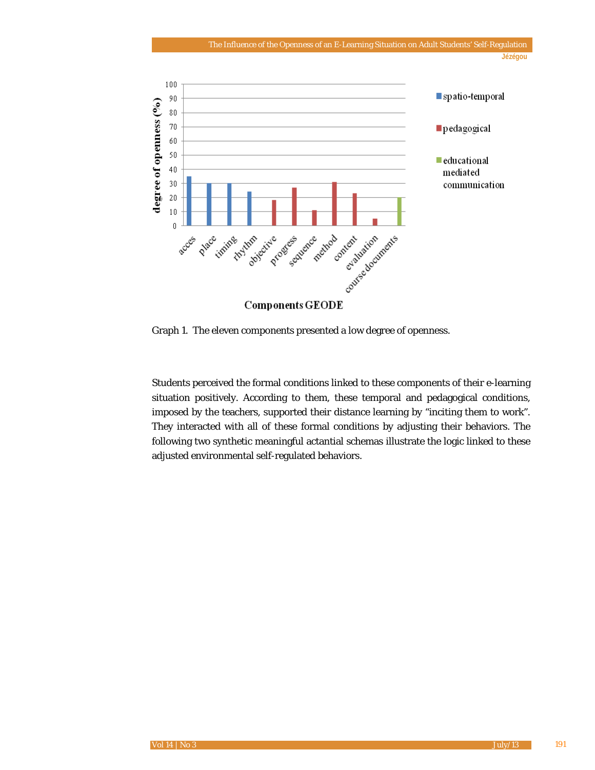

Graph 1. The eleven components presented a low degree of openness.

Students perceived the formal conditions linked to these components of their e-learning situation positively. According to them, these temporal and pedagogical conditions, imposed by the teachers, supported their distance learning by "inciting them to work". They interacted with all of these formal conditions by adjusting their behaviors. The following two synthetic meaningful actantial schemas illustrate the logic linked to these adjusted environmental self-regulated behaviors.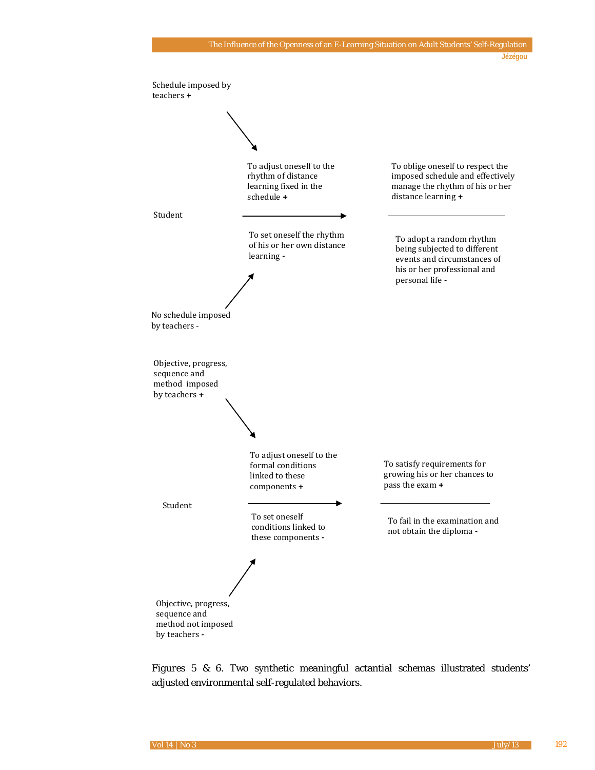

*Figures 5 & 6*. Two synthetic meaningful actantial schemas illustrated students' adjusted environmental self-regulated behaviors.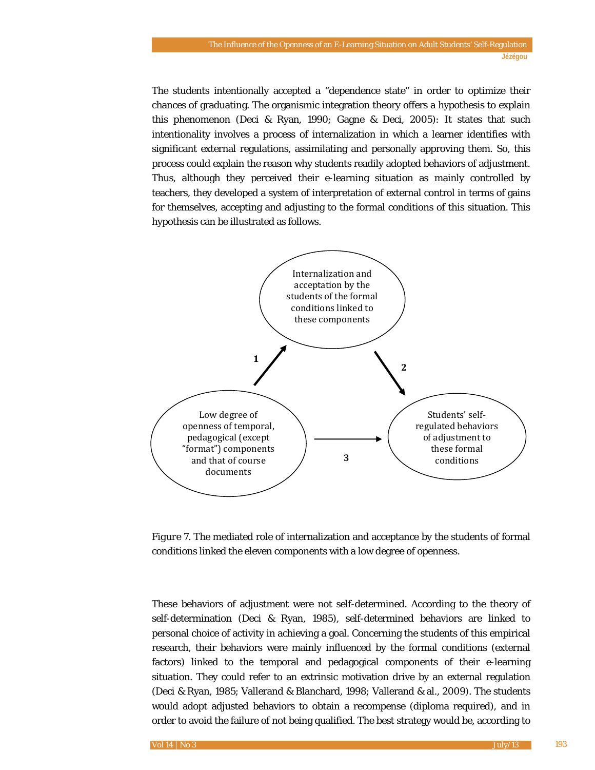The students intentionally accepted a "dependence state" in order to optimize their chances of graduating. The organismic integration theory offers a hypothesis to explain this phenomenon (Deci & Ryan, 1990; Gagne & Deci, 2005): It states that such intentionality involves a process of internalization in which a learner identifies with significant external regulations, assimilating and personally approving them. So, this process could explain the reason why students readily adopted behaviors of adjustment. Thus, although they perceived their e-learning situation as mainly controlled by teachers, they developed a system of interpretation of external control in terms of gains for themselves, accepting and adjusting to the formal conditions of this situation. This hypothesis can be illustrated as follows.



*Figure 7*. The mediated role of internalization and acceptance by the students of formal conditions linked the eleven components with a low degree of openness.

These behaviors of adjustment were not self-determined. According to the theory of self-determination (Deci & Ryan, 1985), self-determined behaviors are linked to personal choice of activity in achieving a goal. Concerning the students of this empirical research, their behaviors were mainly influenced by the formal conditions (external factors) linked to the temporal and pedagogical components of their e-learning situation. They could refer to an extrinsic motivation drive by an external regulation (Deci & Ryan, 1985; Vallerand & Blanchard, 1998; Vallerand & al., 2009). The students would adopt adjusted behaviors to obtain a recompense (diploma required), and in order to avoid the failure of not being qualified. The best strategy would be, according to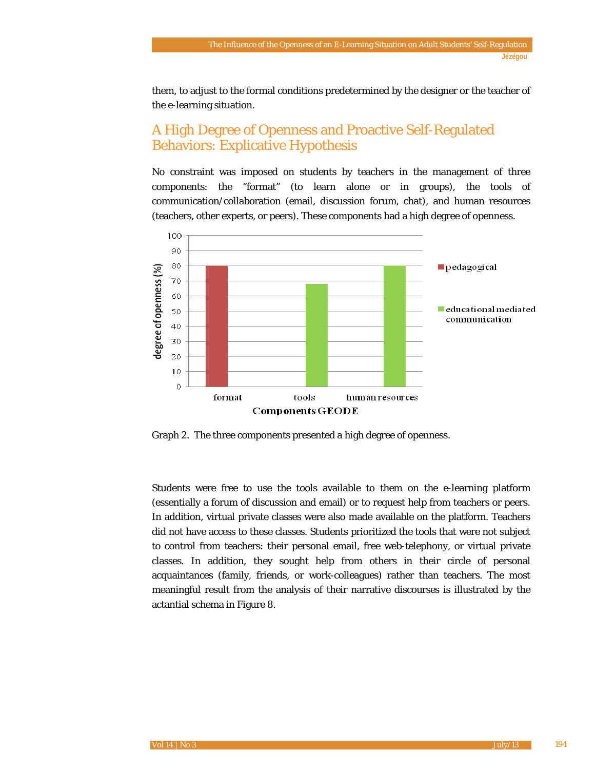them, to adjust to the formal conditions predetermined by the designer or the teacher of the e-learning situation.

# A High Degree of Openness and Proactive Self-Regulated Behaviors: Explicative Hypothesis

No constraint was imposed on students by teachers in the management of three components: the "format" (to learn alone or in groups), the tools of communication/collaboration (email, discussion forum, chat), and human resources (teachers, other experts, or peers). These components had a high degree of openness.



Graph 2. The three components presented a high degree of openness.

Students were free to use the tools available to them on the e-learning platform (essentially a forum of discussion and email) or to request help from teachers or peers. In addition, virtual private classes were also made available on the platform. Teachers did not have access to these classes. Students prioritized the tools that were not subject to control from teachers: their personal email, free web-telephony, or virtual private classes. In addition, they sought help from others in their circle of personal acquaintances (family, friends, or work-colleagues) rather than teachers. The most meaningful result from the analysis of their narrative discourses is illustrated by the actantial schema in Figure 8.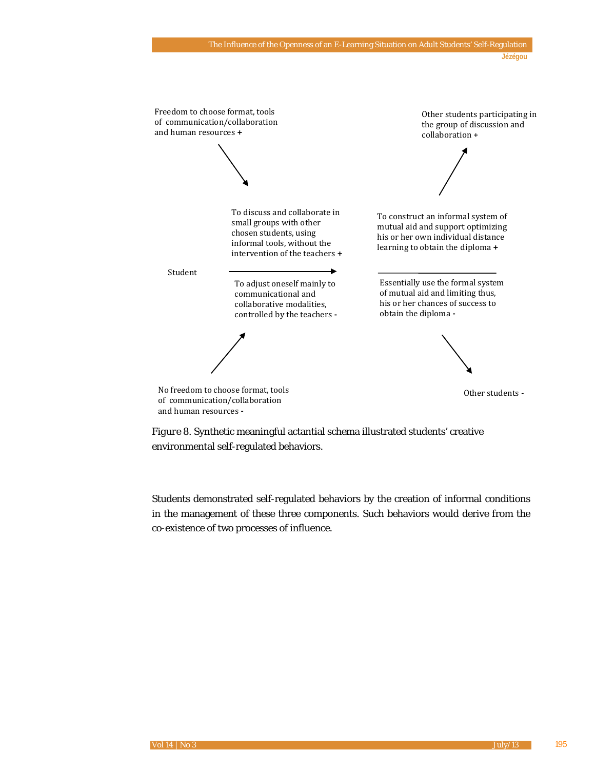

*Figure 8*. Synthetic meaningful actantial schema illustrated students' creative environmental self-regulated behaviors.

Students demonstrated self-regulated behaviors by the creation of informal conditions in the management of these three components. Such behaviors would derive from the co-existence of two processes of influence.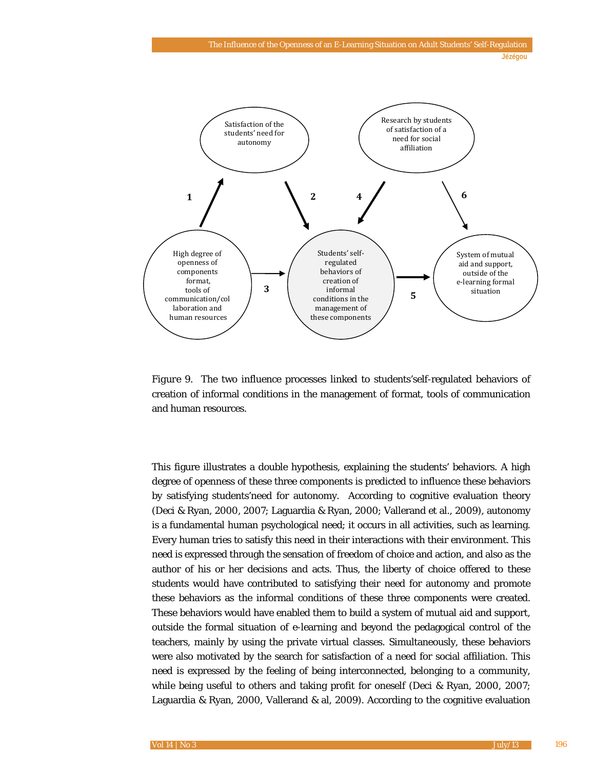

*Figure 9*. The two influence processes linked to students'self-regulated behaviors of creation of informal conditions in the management of format, tools of communication and human resources.

This figure illustrates a double hypothesis, explaining the students' behaviors. A high degree of openness of these three components is predicted to influence these behaviors by satisfying students'need for autonomy. According to cognitive evaluation theory (Deci & Ryan, 2000, 2007; Laguardia & Ryan, 2000; Vallerand et al., 2009), autonomy is a fundamental human psychological need; it occurs in all activities, such as learning. Every human tries to satisfy this need in their interactions with their environment. This need is expressed through the sensation of freedom of choice and action, and also as the author of his or her decisions and acts. Thus, the liberty of choice offered to these students would have contributed to satisfying their need for autonomy and promote these behaviors as the informal conditions of these three components were created. These behaviors would have enabled them to build a system of mutual aid and support, outside the formal situation of e-learning and beyond the pedagogical control of the teachers, mainly by using the private virtual classes. Simultaneously, these behaviors were also motivated by the search for satisfaction of a need for social affiliation. This need is expressed by the feeling of being interconnected, belonging to a community, while being useful to others and taking profit for oneself (Deci & Ryan, 2000, 2007; Laguardia & Ryan, 2000, Vallerand & al, 2009). According to the cognitive evaluation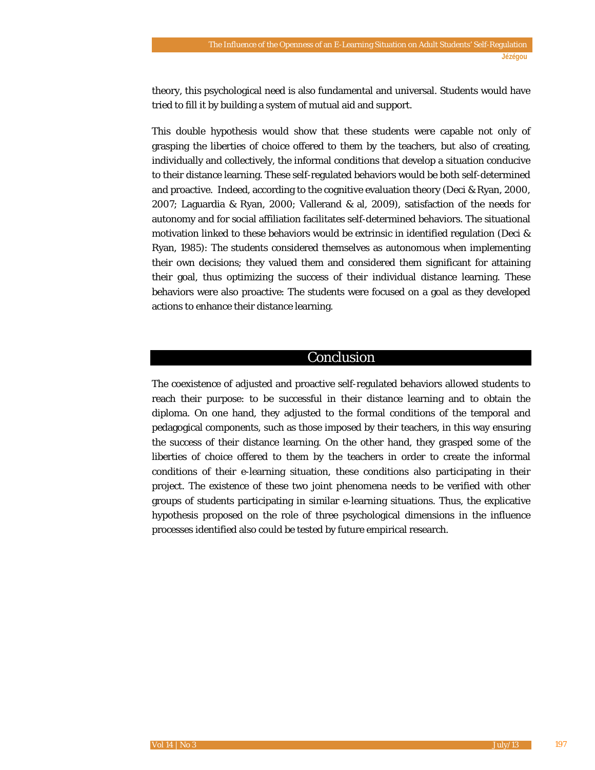theory, this psychological need is also fundamental and universal. Students would have tried to fill it by building a system of mutual aid and support.

This double hypothesis would show that these students were capable not only of grasping the liberties of choice offered to them by the teachers, but also of creating, individually and collectively, the informal conditions that develop a situation conducive to their distance learning. These self-regulated behaviors would be both self-determined and proactive. Indeed, according to the cognitive evaluation theory (Deci & Ryan, 2000, 2007; Laguardia & Ryan, 2000; Vallerand & al, 2009), satisfaction of the needs for autonomy and for social affiliation facilitates self-determined behaviors. The situational motivation linked to these behaviors would be extrinsic in identified regulation (Deci & Ryan, 1985): The students considered themselves as autonomous when implementing their own decisions; they valued them and considered them significant for attaining their goal, thus optimizing the success of their individual distance learning. These behaviors were also proactive: The students were focused on a goal as they developed actions to enhance their distance learning.

## Conclusion

The coexistence of adjusted and proactive self-regulated behaviors allowed students to reach their purpose: to be successful in their distance learning and to obtain the diploma. On one hand, they adjusted to the formal conditions of the temporal and pedagogical components, such as those imposed by their teachers, in this way ensuring the success of their distance learning. On the other hand, they grasped some of the liberties of choice offered to them by the teachers in order to create the informal conditions of their e-learning situation, these conditions also participating in their project. The existence of these two joint phenomena needs to be verified with other groups of students participating in similar e-learning situations. Thus, the explicative hypothesis proposed on the role of three psychological dimensions in the influence processes identified also could be tested by future empirical research.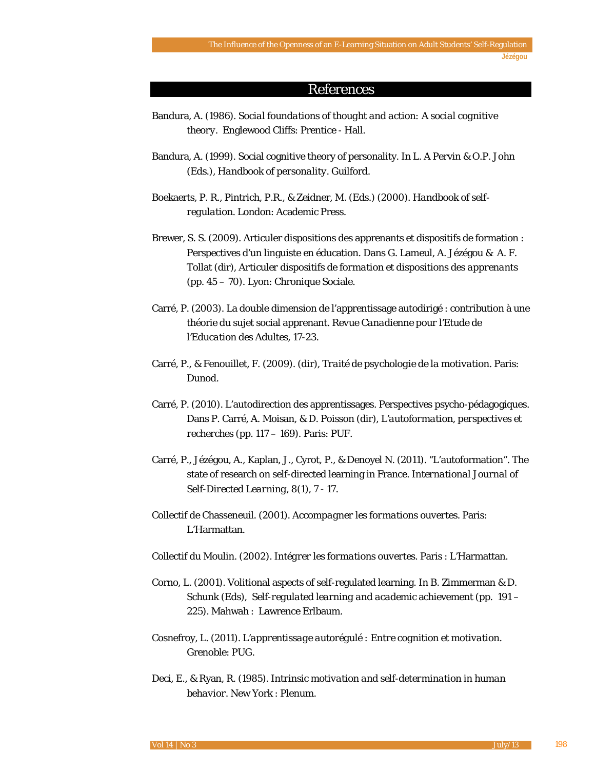## References

- Bandura, A. (1986). *Social foundations of thought and action: A social cognitive theory.* Englewood Cliffs: Prentice - Hall.
- Bandura, A. (1999). Social cognitive theory of personality. In L. A Pervin & O.P. John (Eds.), *Handbook of personality*. Guilford.
- Boekaerts, P. R., Pintrich, P.R., & Zeidner, M. (Eds.) (2000). *Handbook of selfregulation*. London: Academic Press.
- Brewer, S. S. (2009). Articuler dispositions des apprenants et dispositifs de formation : Perspectives d'un linguiste en éducation. Dans G. Lameul, A. Jézégou & A. F. Tollat (dir), *Articuler dispositifs de formation et dispositions des apprenants* (pp. 45 – 70). Lyon: Chronique Sociale.
- Carré, P. (2003). La double dimension de l'apprentissage autodirigé : contribution à une théorie du sujet social apprenant. *Revue Canadienne pour l'Etude de l'Education des Adultes*, 17-23.
- Carré, P., & Fenouillet, F. (2009). (dir), *Traité de psychologie de la motivation*. Paris: Dunod.
- Carré, P. (2010). L'autodirection des apprentissages. Perspectives psycho-pédagogiques. Dans P. Carré, A. Moisan, & D. Poisson (dir), *L'autoformation, perspectives et recherches* (pp. 117 – 169). Paris: PUF.
- Carré, P., Jézégou, A., Kaplan, J., Cyrot, P., & Denoyel N. (2011). "L'autoformation". The state of research on self-directed learning in France. *International Journal of Self-Directed Learning*, *8*(1), 7 - 17.
- Collectif de Chasseneuil. (2001). *Accompagner les formations ouvertes*. Paris: L'Harmattan.
- Collectif du Moulin. (2002). *Intégrer les formations ouvertes*. Paris : L'Harmattan.
- Corno, L. (2001). Volitional aspects of self-regulated learning. In B. Zimmerman & D. Schunk (Eds), *Self-regulated learning and academic* achievement (pp. 191 – 225). Mahwah : Lawrence Erlbaum.
- Cosnefroy, L. (2011). *L'apprentissage autorégulé : Entre cognition et motivation*. Grenoble: PUG.
- Deci, E., & Ryan, R. (1985). *Intrinsic motivation and self-determination in human behavior*. New York : Plenum.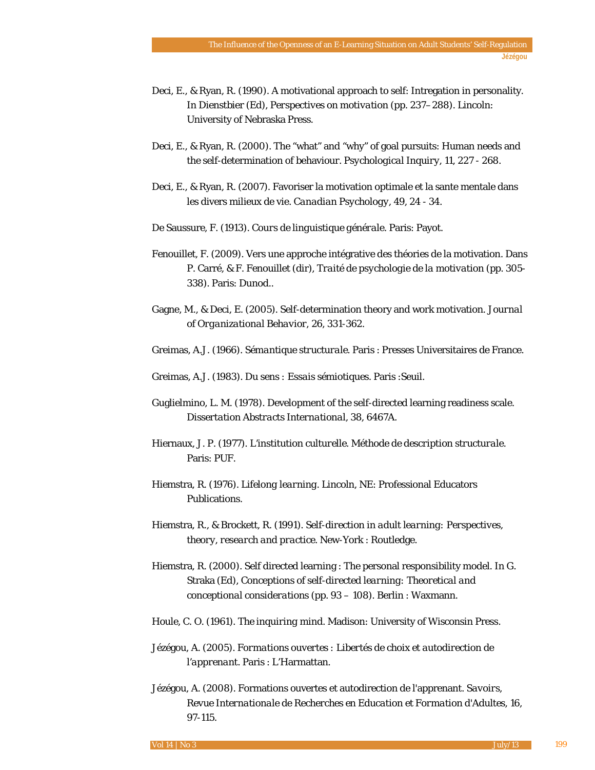- Deci, E., & Ryan, R. (1990). A motivational approach to self: Intregation in personality. In Dienstbier (Ed), *Perspectives on motivation* (pp. 237–288). Lincoln: University of Nebraska Press.
- Deci, E., & Ryan, R. (2000). The "what" and "why" of goal pursuits: Human needs and the self-determination of behaviour. *Psychological Inquiry, 11*, 227 - 268.
- Deci, E., & Ryan, R. (2007). Favoriser la motivation optimale et la sante mentale dans les divers milieux de vie. C*anadian Psychology*, *49*, 24 - 34.
- De Saussure, F. (1913). *Cours de linguistique générale*. Paris: Payot.
- Fenouillet, F. (2009). Vers une approche intégrative des théories de la motivation. Dans P. Carré, & F. Fenouillet (dir), *Traité de psychologie de la motivation* (pp. 305- 338). Paris: Dunod..
- Gagne, M., & Deci, E. (2005). Self-determination theory and work motivation. *Journal of Organizational Behavior*, *26*, 331-362.
- Greimas, A.J. (1966). *Sémantique structurale*. Paris : Presses Universitaires de France.
- Greimas, A.J. (1983). *Du sens : Essais sémiotiques*. Paris :Seuil.
- Guglielmino, L. M. (1978). Development of the self-directed learning readiness scale. *Dissertation Abstracts International*, *38*, 6467A.
- Hiernaux, J. P. (1977). *L'institution culturelle. Méthode de description structurale*. Paris: PUF.
- Hiemstra, R. (1976). *Lifelong learning*. Lincoln, NE: Professional Educators Publications.
- Hiemstra, R., & Brockett, R. (1991). *Self-direction in adult learning: Perspectives, theory, research and practice*. New-York : Routledge.
- Hiemstra, R. (2000). Self directed learning : The personal responsibility model. In G. Straka (Ed), *Conceptions of self-directed learning: Theoretical and conceptional considerations* (pp. 93 – 108)*.* Berlin : Waxmann.
- Houle, C. O. (1961). *The inquiring mind*. Madison: University of Wisconsin Press.
- Jézégou, A. (2005). *Formations ouvertes : Libertés de choix et autodirection de l'apprenant*. Paris : L'Harmattan.
- Jézégou, A. (2008). Formations ouvertes et autodirection de l'apprenant. *Savoirs, Revue Internationale de Recherches en Education et Formation d'Adultes*, *16*, 97-115.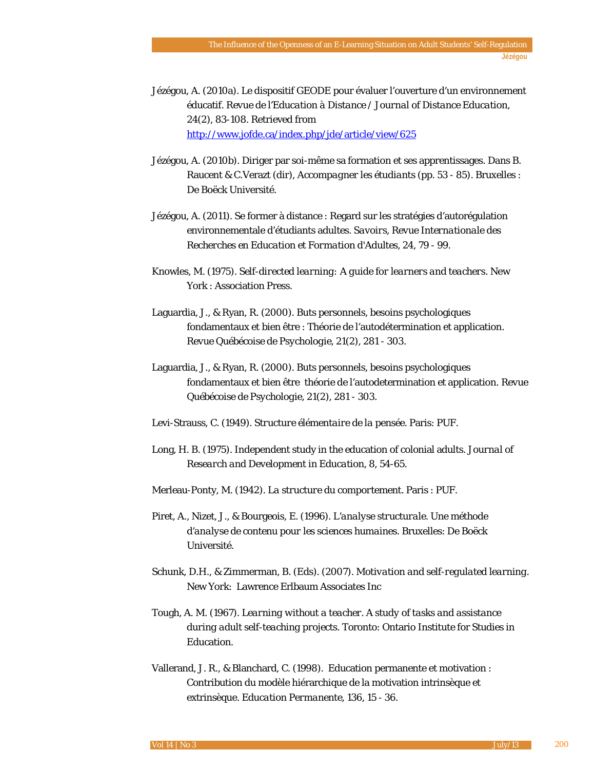- Jézégou, A. (2010a). Le dispositif GEODE pour évaluer l'ouverture d'un environnement éducatif. *Revue de l'Education à Distance / Journal of Distance Education*, *24*(2), 83-108. Retrieved from <http://www.jofde.ca/index.php/jde/article/view/625>
- Jézégou, A. (2010b). Diriger par soi-même sa formation et ses apprentissages. Dans B. Raucent & C.Verazt (dir), *Accompagner les étudiants* (pp. 53 - 85). Bruxelles : De Boëck Université.
- Jézégou, A. (2011). Se former à distance : Regard sur les stratégies d'autorégulation environnementale d'étudiants adultes. *Savoirs, Revue Internationale des Recherches en Education et Formation d'Adultes*, *24*, 79 - 99.
- Knowles, M. (1975). *Self-directed learning: A guide for learners and teachers*. New York : Association Press.
- Laguardia, J., & Ryan, R. (2000). Buts personnels, besoins psychologiques fondamentaux et bien être : Théorie de l'autodétermination et application. *Revue Québécoise de Psychologie*, *21*(2), 281 - 303.
- Laguardia, J., & Ryan, R. (2000). Buts personnels, besoins psychologiques fondamentaux et bien être théorie de l'autodetermination et application. *Revue Québécoise de Psychologie*, *21*(2), 281 - 303.
- Levi-Strauss, C. (1949). *Structure élémentaire de la pensée*. Paris: PUF.
- Long, H. B. (1975). Independent study in the education of colonial adults. *Journal of Research and Development in Education*, *8*, 54-65.
- Merleau-Ponty, M. (1942). *La structure du comportement*. Paris : PUF.
- Piret, A., Nizet, J., & Bourgeois, E. (1996). *L'analyse structurale. Une méthode d'analyse de contenu pour les sciences humaines*. Bruxelles: De Boëck Université.
- Schunk, D.H., & Zimmerman, B. (Eds). (2007). *Motivation and self-regulated learning*. New York: Lawrence Erlbaum Associates Inc
- Tough, A. M. (1967). L*earning without a teacher. A study of tasks and assistance during adult self-teaching projects*. Toronto: Ontario Institute for Studies in Education.
- Vallerand, J. R., & Blanchard, C. (1998). Education permanente et motivation : Contribution du modèle hiérarchique de la motivation intrinsèque et extrinsèque. *Education Permanente*, *136*, 15 - 36.